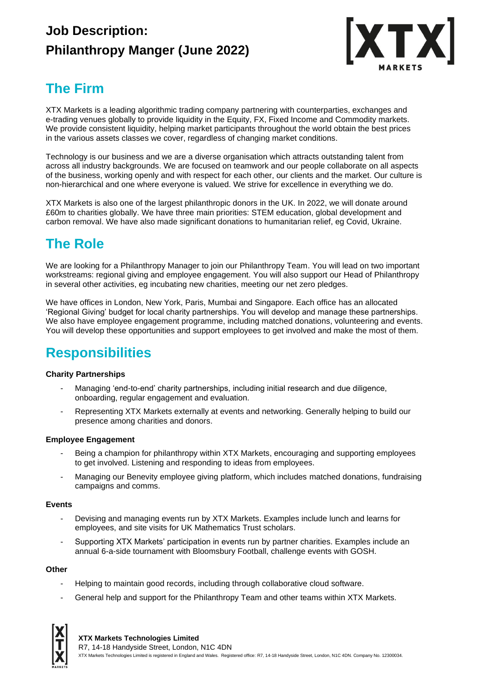## **Job Description: Philanthropy Manger (June 2022)**



### **The Firm**

XTX Markets is a leading algorithmic trading company partnering with counterparties, exchanges and e-trading venues globally to provide liquidity in the Equity, FX, Fixed Income and Commodity markets. We provide consistent liquidity, helping market participants throughout the world obtain the best prices in the various assets classes we cover, regardless of changing market conditions.

Technology is our business and we are a diverse organisation which attracts outstanding talent from across all industry backgrounds. We are focused on teamwork and our people collaborate on all aspects of the business, working openly and with respect for each other, our clients and the market. Our culture is non-hierarchical and one where everyone is valued. We strive for excellence in everything we do.

XTX Markets is also one of the largest philanthropic donors in the UK. In 2022, we will donate around £60m to charities globally. We have three main priorities: STEM education, global development and carbon removal. We have also made significant donations to humanitarian relief, eg Covid, Ukraine.

# **The Role**

We are looking for a Philanthropy Manager to join our Philanthropy Team. You will lead on two important workstreams: regional giving and employee engagement. You will also support our Head of Philanthropy in several other activities, eg incubating new charities, meeting our net zero pledges.

We have offices in London, New York, Paris, Mumbai and Singapore. Each office has an allocated 'Regional Giving' budget for local charity partnerships. You will develop and manage these partnerships. We also have employee engagement programme, including matched donations, volunteering and events. You will develop these opportunities and support employees to get involved and make the most of them.

### **Responsibilities**

### **Charity Partnerships**

- Managing 'end-to-end' charity partnerships, including initial research and due diligence, onboarding, regular engagement and evaluation.
- Representing XTX Markets externally at events and networking. Generally helping to build our presence among charities and donors.

### **Employee Engagement**

- Being a champion for philanthropy within XTX Markets, encouraging and supporting employees to get involved. Listening and responding to ideas from employees.
- Managing our Benevity employee giving platform, which includes matched donations, fundraising campaigns and comms.

### **Events**

- Devising and managing events run by XTX Markets. Examples include lunch and learns for employees, and site visits for UK Mathematics Trust scholars.
- Supporting XTX Markets' participation in events run by partner charities. Examples include an annual 6-a-side tournament with Bloomsbury Football, challenge events with GOSH.

### **Other**

- Helping to maintain good records, including through collaborative cloud software.
- General help and support for the Philanthropy Team and other teams within XTX Markets.